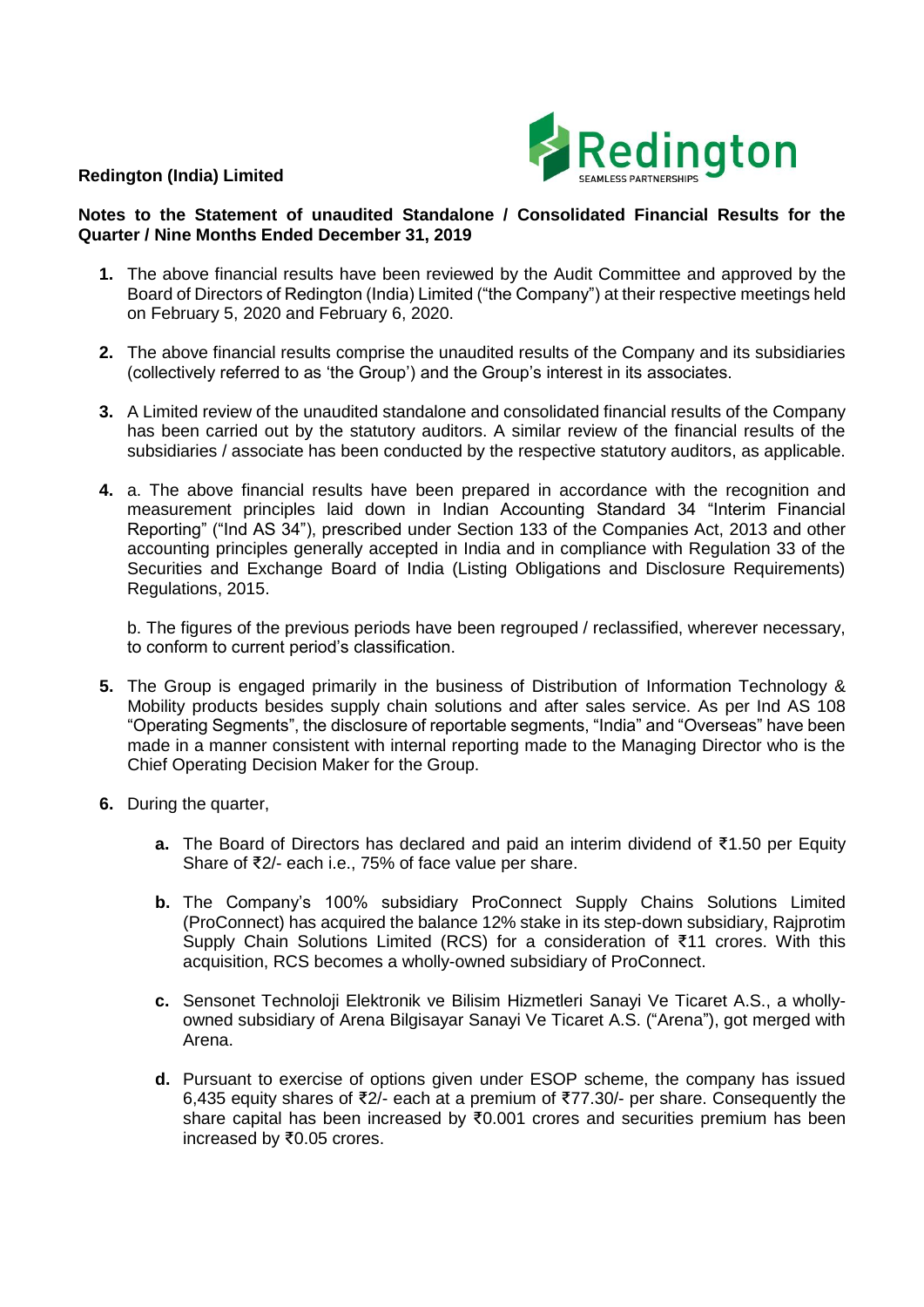## **Redington (India) Limited**



## **Notes to the Statement of unaudited Standalone / Consolidated Financial Results for the Quarter / Nine Months Ended December 31, 2019**

- **1.** The above financial results have been reviewed by the Audit Committee and approved by the Board of Directors of Redington (India) Limited ("the Company") at their respective meetings held on February 5, 2020 and February 6, 2020.
- **2.** The above financial results comprise the unaudited results of the Company and its subsidiaries (collectively referred to as 'the Group') and the Group's interest in its associates.
- **3.** A Limited review of the unaudited standalone and consolidated financial results of the Company has been carried out by the statutory auditors. A similar review of the financial results of the subsidiaries / associate has been conducted by the respective statutory auditors, as applicable.
- **4.** a. The above financial results have been prepared in accordance with the recognition and measurement principles laid down in Indian Accounting Standard 34 "Interim Financial Reporting" ("Ind AS 34"), prescribed under Section 133 of the Companies Act, 2013 and other accounting principles generally accepted in India and in compliance with Regulation 33 of the Securities and Exchange Board of India (Listing Obligations and Disclosure Requirements) Regulations, 2015.

b. The figures of the previous periods have been regrouped / reclassified, wherever necessary, to conform to current period's classification.

- **5.** The Group is engaged primarily in the business of Distribution of Information Technology & Mobility products besides supply chain solutions and after sales service. As per Ind AS 108 "Operating Segments", the disclosure of reportable segments, "India" and "Overseas" have been made in a manner consistent with internal reporting made to the Managing Director who is the Chief Operating Decision Maker for the Group.
- **6.** During the quarter,
	- **a.** The Board of Directors has declared and paid an interim dividend of ₹1.50 per Equity Share of ₹2/- each i.e., 75% of face value per share.
	- **b.** The Company's 100% subsidiary ProConnect Supply Chains Solutions Limited (ProConnect) has acquired the balance 12% stake in its step-down subsidiary, Rajprotim Supply Chain Solutions Limited (RCS) for a consideration of ₹11 crores. With this acquisition, RCS becomes a wholly-owned subsidiary of ProConnect.
	- **c.** Sensonet Technoloji Elektronik ve Bilisim Hizmetleri Sanayi Ve Ticaret A.S., a whollyowned subsidiary of Arena Bilgisayar Sanayi Ve Ticaret A.S. ("Arena"), got merged with Arena.
	- **d.** Pursuant to exercise of options given under ESOP scheme, the company has issued 6,435 equity shares of ₹2/- each at a premium of ₹77.30/- per share. Consequently the share capital has been increased by ₹0.001 crores and securities premium has been increased by ₹0.05 crores.